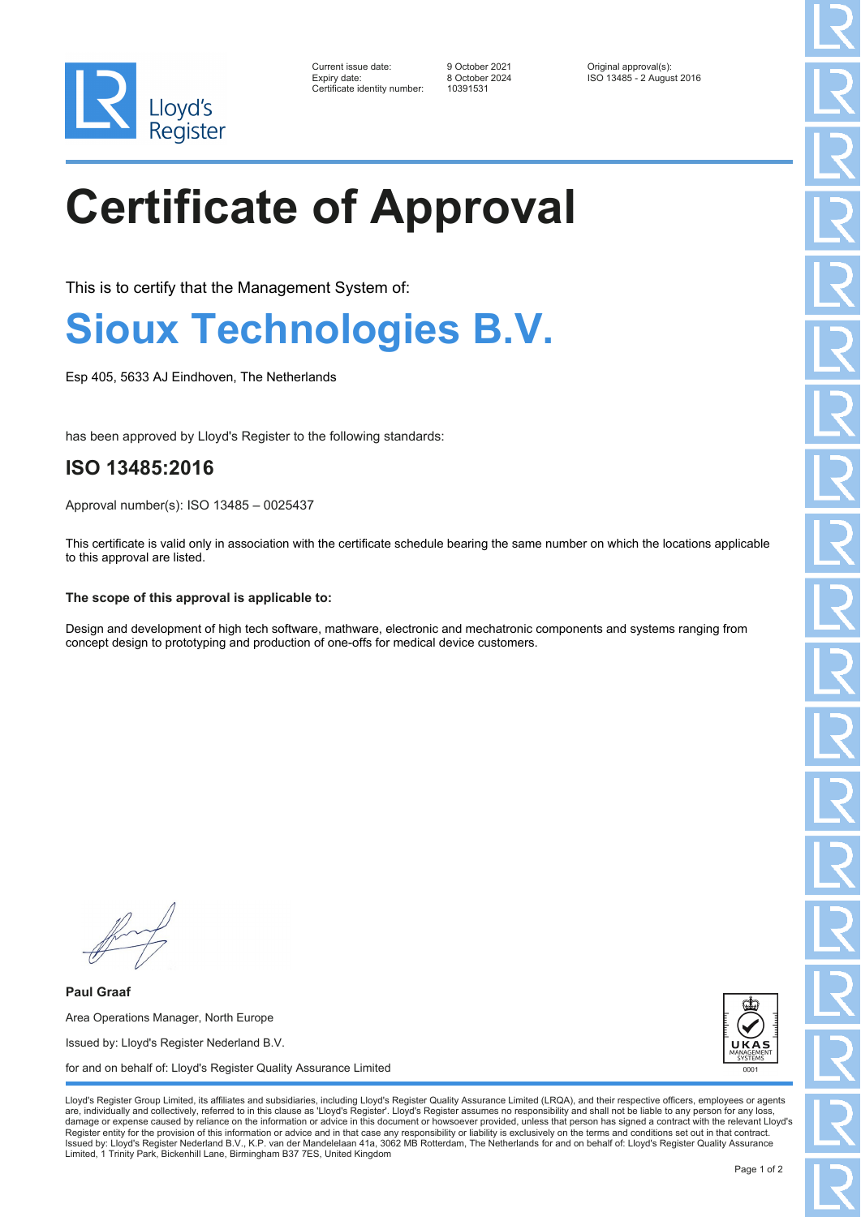

| Current issue date:         |
|-----------------------------|
| Expiry date:                |
| Certificate identity number |

Certificate identity number: 10391531

Current issue date: 9 October 2021 Original approval(s): Expiry date: 8 October 2024 ISO 13485 - 2 August 2016

# **Certificate of Approval**

This is to certify that the Management System of:

### **Sioux Technologies B.V.**

Esp 405, 5633 AJ Eindhoven, The Netherlands

has been approved by Lloyd's Register to the following standards:

### **ISO 13485:2016**

Approval number(s): ISO 13485 – 0025437

This certificate is valid only in association with the certificate schedule bearing the same number on which the locations applicable to this approval are listed.

#### **The scope of this approval is applicable to:**

Design and development of high tech software, mathware, electronic and mechatronic components and systems ranging from concept design to prototyping and production of one-offs for medical device customers.

**Paul Graaf** Area Operations Manager, North Europe Issued by: Lloyd's Register Nederland B.V. for and on behalf of: Lloyd's Register Quality Assurance Limited



Lloyd's Register Group Limited, its affiliates and subsidiaries, including Lloyd's Register Quality Assurance Limited (LRQA), and their respective officers, employees or agents are, individually and collectively, referred to in this clause as 'Lloyd's Register'. Lloyd's Register assumes no responsibility and shall not be liable to any person for any los damage or expense caused by reliance on the information or advice in this document or howsoever provided, unless that person has signed a contract with the relevant Lloyd's<br>Register entity for the provision of this informa Issued by: Lloyd's Register Nederland B.V., K.P. van der Mandelelaan 41a, 3062 MB Rotterdam, The Netherlands for and on behalf of: Lloyd's Register Quality Assurance Limited, 1 Trinity Park, Bickenhill Lane, Birmingham B37 7ES, United Kingdom